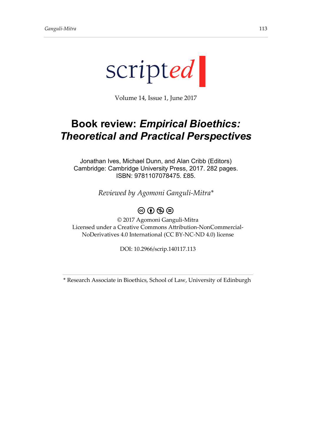

Volume 14, Issue 1, June 2017

## **Book review:** *Empirical Bioethics: Theoretical and Practical Perspectives*

Jonathan Ives, Michael Dunn, and Alan Cribb (Editors) Cambridge: Cambridge University Press, 2017. 282 pages. ISBN: 9781107078475. £85.

*Reviewed by Agomoni Ganguli-Mitra\**

## $\circledcirc$   $\circledcirc$   $\circledcirc$

© 2017 Agomoni Ganguli-Mitra Licensed under a Creative Commons Attribution-NonCommercial-NoDerivatives 4.0 International (CC BY-NC-ND 4.0) license

DOI: 10.2966/scrip.140117.113

\* Research Associate in Bioethics, School of Law, University of Edinburgh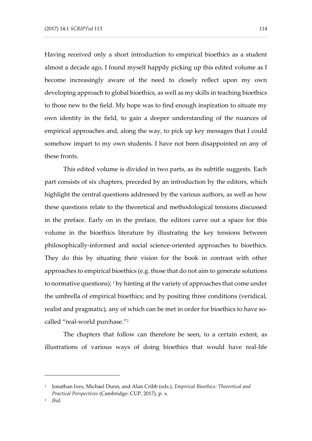Having received only a short introduction to empirical bioethics as a student almost a decade ago, I found myself happily picking up this edited volume as I become increasingly aware of the need to closely reflect upon my own developing approach to global bioethics, as well as my skills in teaching bioethics to those new to the field. My hope was to find enough inspiration to situate my own identity in the field, to gain a deeper understanding of the nuances of empirical approaches and, along the way, to pick up key messages that I could somehow impart to my own students. I have not been disappointed on any of these fronts.

This edited volume is divided in two parts, as its subtitle suggests. Each part consists of six chapters, preceded by an introduction by the editors, which highlight the central questions addressed by the various authors, as well as how these questions relate to the theoretical and methodological tensions discussed in the preface. Early on in the preface, the editors carve out a space for this volume in the bioethics literature by illustrating the key tensions between philosophically-informed and social science-oriented approaches to bioethics. They do this by situating their vision for the book in contrast with other approaches to empirical bioethics (e.g. those that do not aim to generate solutions to normative questions);  $1$  by hinting at the variety of approaches that come under the umbrella of empirical bioethics; and by positing three conditions (veridical, realist and pragmatic), any of which can be met in order for bioethics to have socalled "real-world purchase." 2

The chapters that follow can therefore be seen, to a certain extent, as illustrations of various ways of doing bioethics that would have real-life

<sup>1</sup> Jonathan Ives, Michael Dunn, and Alan Cribb (eds.), *Empirical Bioethics: Theoretical and Practical Perspectives* (Cambridge: CUP, 2017), p. x.

<sup>2</sup> *Ibid.*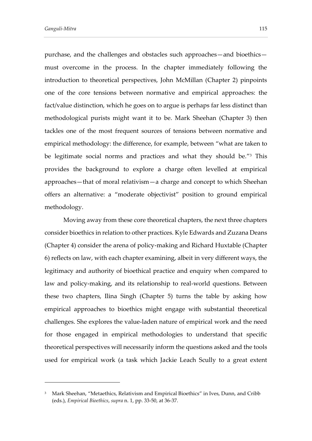-

purchase, and the challenges and obstacles such approaches—and bioethics must overcome in the process. In the chapter immediately following the introduction to theoretical perspectives, John McMillan (Chapter 2) pinpoints one of the core tensions between normative and empirical approaches: the fact/value distinction, which he goes on to argue is perhaps far less distinct than methodological purists might want it to be. Mark Sheehan (Chapter 3) then tackles one of the most frequent sources of tensions between normative and empirical methodology: the difference, for example, between "what are taken to be legitimate social norms and practices and what they should be." <sup>3</sup> This provides the background to explore a charge often levelled at empirical approaches—that of moral relativism—a charge and concept to which Sheehan offers an alternative: a "moderate objectivist" position to ground empirical methodology.

Moving away from these core theoretical chapters, the next three chapters consider bioethics in relation to other practices. Kyle Edwards and Zuzana Deans (Chapter 4) consider the arena of policy-making and Richard Huxtable (Chapter 6) reflects on law, with each chapter examining, albeit in very different ways, the legitimacy and authority of bioethical practice and enquiry when compared to law and policy-making, and its relationship to real-world questions. Between these two chapters, Ilina Singh (Chapter 5) turns the table by asking how empirical approaches to bioethics might engage with substantial theoretical challenges. She explores the value-laden nature of empirical work and the need for those engaged in empirical methodologies to understand that specific theoretical perspectives will necessarily inform the questions asked and the tools used for empirical work (a task which Jackie Leach Scully to a great extent

<sup>&</sup>lt;sup>3</sup> Mark Sheehan, "Metaethics, Relativism and Empirical Bioethics" in Ives, Dunn, and Cribb (eds.), *Empirical Bioethics*, *supra* n. 1, pp. 33-50, at 36-37.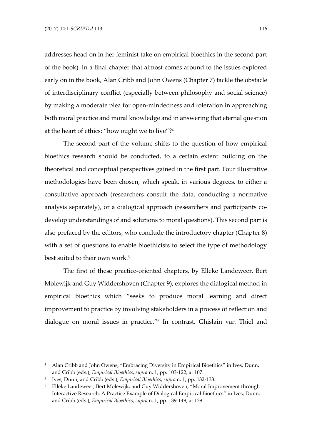addresses head-on in her feminist take on empirical bioethics in the second part of the book). In a final chapter that almost comes around to the issues explored early on in the book, Alan Cribb and John Owens (Chapter 7) tackle the obstacle of interdisciplinary conflict (especially between philosophy and social science) by making a moderate plea for open-mindedness and toleration in approaching both moral practice and moral knowledge and in answering that eternal question at the heart of ethics: "how ought we to live"?<sup>4</sup>

The second part of the volume shifts to the question of how empirical bioethics research should be conducted, to a certain extent building on the theoretical and conceptual perspectives gained in the first part. Four illustrative methodologies have been chosen, which speak, in various degrees, to either a consultative approach (researchers consult the data, conducting a normative analysis separately), or a dialogical approach (researchers and participants codevelop understandings of and solutions to moral questions). This second part is also prefaced by the editors, who conclude the introductory chapter (Chapter 8) with a set of questions to enable bioethicists to select the type of methodology best suited to their own work.<sup>5</sup>

The first of these practice-oriented chapters, by Elleke Landeweer, Bert Molewijk and Guy Widdershoven (Chapter 9), explores the dialogical method in empirical bioethics which "seeks to produce moral learning and direct improvement to practice by involving stakeholders in a process of reflection and dialogue on moral issues in practice." 6 In contrast, Ghislain van Thiel and

<sup>&</sup>lt;sup>4</sup> Alan Cribb and John Owens, "Embracing Diversity in Empirical Bioethics" in Ives, Dunn, and Cribb (eds.), *Empirical Bioethics*, *supra* n. 1, pp. 103-122, at 107.

<sup>5</sup> Ives, Dunn, and Cribb (eds.), *Empirical Bioethics*, *supra* n. 1, pp. 132-133.

<sup>6</sup> Elleke Landeweer, Bert Molewijk, and Guy Widdershoven, "Moral Improvement through Interactive Research: A Practice Example of Dialogical Empirical Bioethics" in Ives, Dunn, and Cribb (eds.), *Empirical Bioethics*, *supra* n. 1, pp. 139-149, at 139.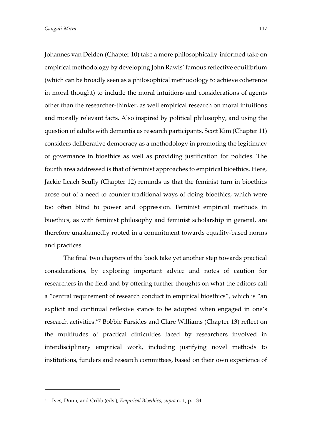Johannes van Delden (Chapter 10) take a more philosophically-informed take on empirical methodology by developing John Rawls' famous reflective equilibrium (which can be broadly seen as a philosophical methodology to achieve coherence in moral thought) to include the moral intuitions and considerations of agents other than the researcher-thinker, as well empirical research on moral intuitions and morally relevant facts. Also inspired by political philosophy, and using the question of adults with dementia as research participants, Scott Kim (Chapter 11) considers deliberative democracy as a methodology in promoting the legitimacy of governance in bioethics as well as providing justification for policies. The fourth area addressed is that of feminist approaches to empirical bioethics. Here, Jackie Leach Scully (Chapter 12) reminds us that the feminist turn in bioethics arose out of a need to counter traditional ways of doing bioethics, which were too often blind to power and oppression. Feminist empirical methods in bioethics, as with feminist philosophy and feminist scholarship in general, are therefore unashamedly rooted in a commitment towards equality-based norms and practices.

The final two chapters of the book take yet another step towards practical considerations, by exploring important advice and notes of caution for researchers in the field and by offering further thoughts on what the editors call a "central requirement of research conduct in empirical bioethics", which is "an explicit and continual reflexive stance to be adopted when engaged in one's research activities." <sup>7</sup> Bobbie Farsides and Clare Williams (Chapter 13) reflect on the multitudes of practical difficulties faced by researchers involved in interdisciplinary empirical work, including justifying novel methods to institutions, funders and research committees, based on their own experience of

<sup>7</sup> Ives, Dunn, and Cribb (eds.), *Empirical Bioethics*, *supra* n. 1, p. 134.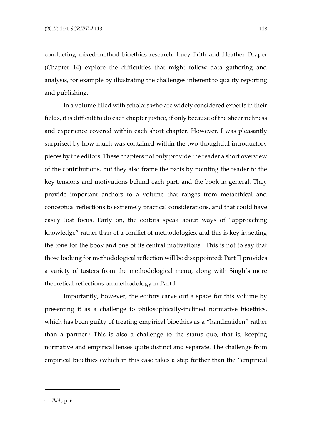conducting mixed-method bioethics research. Lucy Frith and Heather Draper (Chapter 14) explore the difficulties that might follow data gathering and analysis, for example by illustrating the challenges inherent to quality reporting and publishing.

In a volume filled with scholars who are widely considered experts in their fields, it is difficult to do each chapter justice, if only because of the sheer richness and experience covered within each short chapter. However, I was pleasantly surprised by how much was contained within the two thoughtful introductory pieces by the editors. These chapters not only provide the reader a short overview of the contributions, but they also frame the parts by pointing the reader to the key tensions and motivations behind each part, and the book in general. They provide important anchors to a volume that ranges from metaethical and conceptual reflections to extremely practical considerations, and that could have easily lost focus. Early on, the editors speak about ways of "approaching knowledge" rather than of a conflict of methodologies, and this is key in setting the tone for the book and one of its central motivations. This is not to say that those looking for methodological reflection will be disappointed: Part II provides a variety of tasters from the methodological menu, along with Singh's more theoretical reflections on methodology in Part I.

Importantly, however, the editors carve out a space for this volume by presenting it as a challenge to philosophically-inclined normative bioethics, which has been guilty of treating empirical bioethics as a "handmaiden" rather than a partner. $8$  This is also a challenge to the status quo, that is, keeping normative and empirical lenses quite distinct and separate. The challenge from empirical bioethics (which in this case takes a step farther than the "empirical

<sup>8</sup> *Ibid*., p. 6.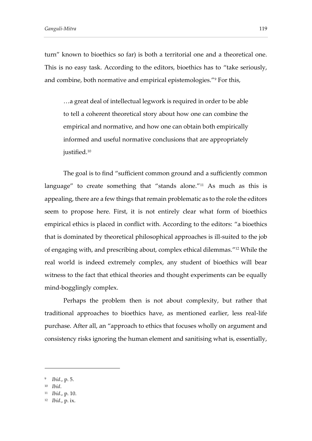turn" known to bioethics so far) is both a territorial one and a theoretical one. This is no easy task. According to the editors, bioethics has to "take seriously, and combine, both normative and empirical epistemologies." <sup>9</sup> For this,

…a great deal of intellectual legwork is required in order to be able to tell a coherent theoretical story about how one can combine the empirical and normative, and how one can obtain both empirically informed and useful normative conclusions that are appropriately justified.<sup>10</sup>

The goal is to find "sufficient common ground and a sufficiently common language" to create something that "stands alone." <sup>11</sup> As much as this is appealing, there are a few things that remain problematic as to the role the editors seem to propose here. First, it is not entirely clear what form of bioethics empirical ethics is placed in conflict with. According to the editors: "a bioethics that is dominated by theoretical philosophical approaches is ill-suited to the job of engaging with, and prescribing about, complex ethical dilemmas." <sup>12</sup> While the real world is indeed extremely complex, any student of bioethics will bear witness to the fact that ethical theories and thought experiments can be equally mind-bogglingly complex.

Perhaps the problem then is not about complexity, but rather that traditional approaches to bioethics have, as mentioned earlier, less real-life purchase. After all, an "approach to ethics that focuses wholly on argument and consistency risks ignoring the human element and sanitising what is, essentially,

<sup>9</sup> *Ibid*., p. 5.

<sup>10</sup> *Ibid*.

<sup>11</sup> *Ibid*., p. 10.

<sup>12</sup> *Ibid*., p. ix.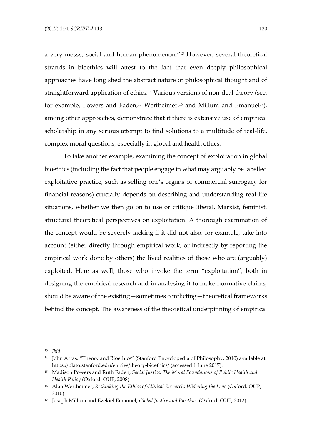a very messy, social and human phenomenon." <sup>13</sup> However, several theoretical strands in bioethics will attest to the fact that even deeply philosophical approaches have long shed the abstract nature of philosophical thought and of straightforward application of ethics.<sup>14</sup> Various versions of non-deal theory (see, for example, Powers and Faden,<sup>15</sup> Wertheimer,<sup>16</sup> and Millum and Emanuel<sup>17</sup>), among other approaches, demonstrate that it there is extensive use of empirical scholarship in any serious attempt to find solutions to a multitude of real-life, complex moral questions, especially in global and health ethics.

To take another example, examining the concept of exploitation in global bioethics (including the fact that people engage in what may arguably be labelled exploitative practice, such as selling one's organs or commercial surrogacy for financial reasons) crucially depends on describing and understanding real-life situations, whether we then go on to use or critique liberal, Marxist, feminist, structural theoretical perspectives on exploitation. A thorough examination of the concept would be severely lacking if it did not also, for example, take into account (either directly through empirical work, or indirectly by reporting the empirical work done by others) the lived realities of those who are (arguably) exploited. Here as well, those who invoke the term "exploitation", both in designing the empirical research and in analysing it to make normative claims, should be aware of the existing—sometimes conflicting—theoretical frameworks behind the concept. The awareness of the theoretical underpinning of empirical

<sup>13</sup> *Ibid*.

<sup>14</sup> John Arras, "Theory and Bioethics" (Stanford Encyclopedia of Philosophy, 2010) available at <https://plato.stanford.edu/entries/theory-bioethics/> (accessed 1 June 2017).

<sup>15</sup> Madison Powers and Ruth Faden, *Social Justice: The Moral Foundations of Public Health and Health Policy* (Oxford: OUP, 2008).

<sup>16</sup> Alan Wertheimer, *Rethinking the Ethics of Clinical Research: Widening the Lens* (Oxford: OUP, 2010).

<sup>17</sup> Joseph Millum and Ezekiel Emanuel, *Global Justice and Bioethics* (Oxford: OUP, 2012).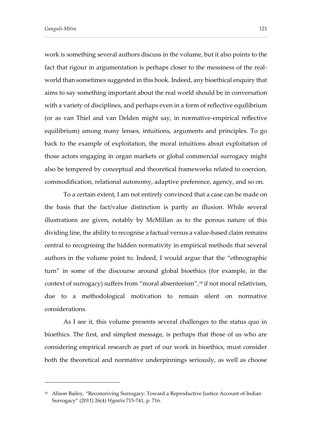-

work is something several authors discuss in the volume, but it also points to the fact that rigour in argumentation is perhaps closer to the messiness of the realworld than sometimes suggested in this book. Indeed, any bioethical enquiry that aims to say something important about the real world should be in conversation with a variety of disciplines, and perhaps even in a form of reflective equilibrium (or as van Thiel and van Delden might say, in normative-empirical reflective equilibrium) among many lenses, intuitions, arguments and principles. To go back to the example of exploitation, the moral intuitions about exploitation of those actors engaging in organ markets or global commercial surrogacy might also be tempered by conceptual and theoretical frameworks related to coercion, commodification, relational autonomy, adaptive preference, agency, and so on.

To a certain extent, I am not entirely convinced that a case can be made on the basis that the fact/value distinction is partly an illusion. While several illustrations are given, notably by McMillan as to the porous nature of this dividing line, the ability to recognise a factual versus a value-based claim remains central to recognising the hidden normativity in empirical methods that several authors in the volume point to. Indeed, I would argue that the "ethnographic turn" in some of the discourse around global bioethics (for example, in the context of surrogacy) suffers from "moral absenteeism",<sup>18</sup> if not moral relativism, due to a methodological motivation to remain silent on normative considerations.

As I see it, this volume presents several challenges to the status quo in bioethics. The first, and simplest message, is perhaps that those of us who are considering empirical research as part of our work in bioethics, must consider both the theoretical and normative underpinnings seriously, as well as choose

<sup>&</sup>lt;sup>18</sup> Alison Bailey, "Reconceiving Surrogacy: Toward a Reproductive Justice Account of Indian Surrogacy" (2011) 26(4) *Hypatia* 715-741, p. 716.